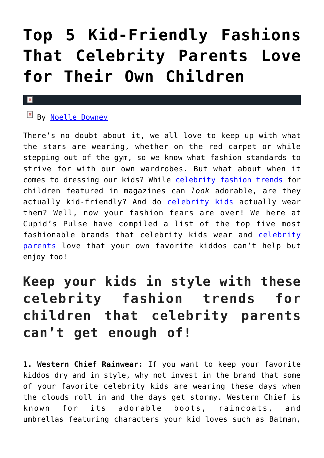# **[Top 5 Kid-Friendly Fashions](https://cupidspulse.com/118881/top-kid-fashions-celebrity-parents-love-children/) [That Celebrity Parents Love](https://cupidspulse.com/118881/top-kid-fashions-celebrity-parents-love-children/) [for Their Own Children](https://cupidspulse.com/118881/top-kid-fashions-celebrity-parents-love-children/)**

#### $\mathbf x$

## By [Noelle Downey](http://cupidspulse.com/117903/noelle-downey/)

There's no doubt about it, we all love to keep up with what the stars are wearing, whether on the red carpet or while stepping out of the gym, so we know what fashion standards to strive for with our own wardrobes. But what about when it comes to dressing our kids? While [celebrity fashion trends](http://cupidspulse.com/fashion/) for children featured in magazines can *look* adorable, are they actually kid-friendly? And do [celebrity kids](http://cupidspulse.com/celebrity-news/celebrity-babies/) actually wear them? Well, now your fashion fears are over! We here at Cupid's Pulse have compiled a list of the top five most fashionable brands that celebrity kids wear and [celebrity](http://cupidspulse.com/celebrity-news/celebrity-babies/) [parents](http://cupidspulse.com/celebrity-news/celebrity-babies/) love that your own favorite kiddos can't help but enjoy too!

## **Keep your kids in style with these celebrity fashion trends for children that celebrity parents can't get enough of!**

**1. Western Chief Rainwear:** If you want to keep your favorite kiddos dry and in style, why not invest in the brand that some of your favorite celebrity kids are wearing these days when the clouds roll in and the days get stormy. Western Chief is known for its adorable boots, raincoats, and umbrellas featuring characters your kid loves such as Batman,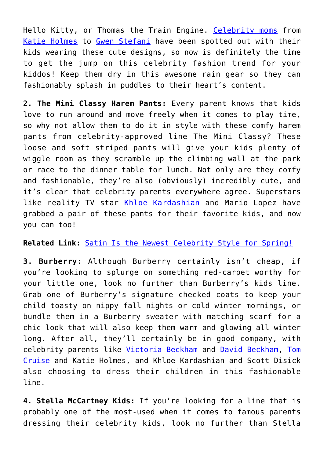Hello Kitty, or Thomas the Train Engine. [Celebrity moms](http://cupidspulse.com/celebrity-news/celebrity-babies/) from [Katie Holmes](http://cupidspulse.com/93045/katie-holmes/) to [Gwen Stefani](http://cupidspulse.com/109118/gwen-stefani/) have been spotted out with their kids wearing these cute designs, so now is definitely the time to get the jump on this celebrity fashion trend for your kiddos! Keep them dry in this awesome rain gear so they can fashionably splash in puddles to their heart's content.

**2. The Mini Classy Harem Pants:** Every parent knows that kids love to run around and move freely when it comes to play time, so why not allow them to do it in style with these comfy harem pants from celebrity-approved line The Mini Classy? These loose and soft striped pants will give your kids plenty of wiggle room as they scramble up the climbing wall at the park or race to the dinner table for lunch. Not only are they comfy and fashionable, they're also (obviously) incredibly cute, and it's clear that celebrity parents everywhere agree. Superstars like reality TV star [Khloe Kardashian](http://cupidspulse.com/87702/khloe-kardashian/) and Mario Lopez have grabbed a pair of these pants for their favorite kids, and now you can too!

### **Related Link:** [Satin Is the Newest Celebrity Style for Spring!](http://cupidspulse.com/118326/satin-newest-celebrity-style-spring/)

**3. Burberry:** Although Burberry certainly isn't cheap, if you're looking to splurge on something red-carpet worthy for your little one, look no further than Burberry's kids line. Grab one of Burberry's signature checked coats to keep your child toasty on nippy fall nights or cold winter mornings, or bundle them in a Burberry sweater with matching scarf for a chic look that will also keep them warm and glowing all winter long. After all, they'll certainly be in good company, with celebrity parents like [Victoria Beckham](http://cupidspulse.com/93029/victoria-beckham/) and [David Beckham,](http://cupidspulse.com/93026/david-beckham/) [Tom](http://cupidspulse.com/93041/tom-cruise/) [Cruise](http://cupidspulse.com/93041/tom-cruise/) and Katie Holmes, and Khloe Kardashian and Scott Disick also choosing to dress their children in this fashionable line.

**4. Stella McCartney Kids:** If you're looking for a line that is probably one of the most-used when it comes to famous parents dressing their celebrity kids, look no further than Stella